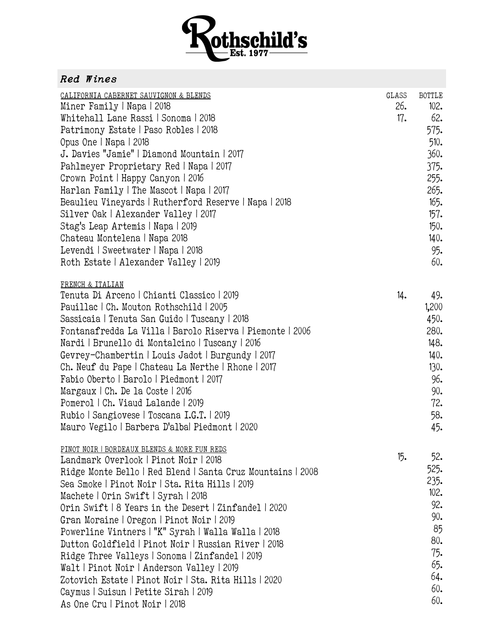

## *Red Wines*

| CALIFORNIA CABERNET SAUVIGNON & BLENDS<br>Miner Family   Napa   2018<br>Whitehall Lane Rassi   Sonoma   2018<br>Patrimony Estate   Paso Robles   2018<br>Opus One   Napa   2018<br>J. Davies "Jamie"   Diamond Mountain   2017<br>Pahlmeyer Proprietary Red   Napa   2017<br>Crown Point   Happy Canyon   2016<br>Harlan Family   The Mascot   Napa   2017<br>Beaulieu Vineyards   Rutherford Reserve   Napa   2018<br>Silver Oak   Alexander Valley   2017<br>Stag's Leap Artemis   Napa   2019<br>Chateau Montelena   Napa 2018<br>Levendi   Sweetwater   Napa   2018<br>Roth Estate   Alexander Valley   2019                                                                                         | GLASS<br>26.<br>17. | <b>BOTTLE</b><br>102.<br>62.<br>575.<br>510.<br>360.<br>375.<br>255.<br>265.<br>165.<br>157.<br>150.<br>140.<br>95.<br>60. |
|----------------------------------------------------------------------------------------------------------------------------------------------------------------------------------------------------------------------------------------------------------------------------------------------------------------------------------------------------------------------------------------------------------------------------------------------------------------------------------------------------------------------------------------------------------------------------------------------------------------------------------------------------------------------------------------------------------|---------------------|----------------------------------------------------------------------------------------------------------------------------|
| FRENCH & ITALIAN<br>Tenuta Di Arceno   Chianti Classico   2019<br>Pauillac   Ch. Mouton Rothschild   2005<br>Sassicaia   Tenuta San Guido   Tuscany   2018<br>Fontanafredda La Villa   Barolo Riserva   Piemonte   2006<br>Nardi   Brunello di Montalcino   Tuscany   2016<br>Gevrey-Chambertin   Louis Jadot   Burgundy   2017<br>Ch. Neuf du Pape   Chateau La Nerthe   Rhone   2017<br>Fabio Oberto   Barolo   Piedmont   2017<br>Margaux   Ch. De la Coste   2016<br>Pomerol   Ch. Viaud Lalande   2019<br>Rubio   Sangiovese   Toscana I.G.T.   2019<br>Mauro Vegilo   Barbera D'alba Piedmont   2020                                                                                               | 14.                 | 49.<br>1,200<br>450.<br>280.<br>148.<br>140.<br>130.<br>96.<br>90.<br>72.<br>58.<br>45.                                    |
| PINOT NOIR   BORDEAUX BLENDS & MORE FUN REDS<br>Landmark Overlook   Pinot Noir   2018<br>Ridge Monte Bello   Red Blend   Santa Cruz Mountains   2008<br>Sea Smoke   Pinot Noir   Sta. Rita Hills   2019<br>Machete   Orin Swift   Syrah   2018<br>Orin Swift   8 Years in the Desert   Zinfandel   2020<br>Gran Moraine   Oregon   Pinot Noir   2019<br>Powerline Vintners   "K" Syrah   Walla Walla   2018<br>Dutton Goldfield   Pinot Noir   Russian River   2018<br>Ridge Three Valleys   Sonoma   Zinfandel   2019<br>Walt   Pinot Noir   Anderson Valley   2019<br>Zotovich Estate   Pinot Noir   Sta. Rita Hills   2020<br>Caymus   Suisun   Petite Sirah   2019<br>As One Cru   Pinot Noir   2018 | 15.                 | 52.<br>525.<br>235.<br>102.<br>92.<br>90.<br>85<br>80.<br>75.<br>65.<br>64.<br>60.<br>60.                                  |